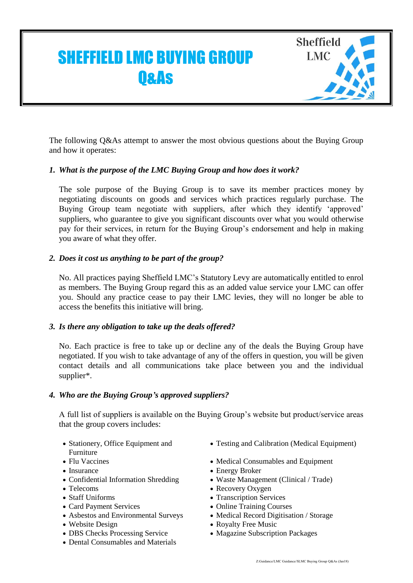# **Sheffield** SHEFFIELD LMC BUYING GROUP LMC **O&As**

The following Q&As attempt to answer the most obvious questions about the Buying Group and how it operates:

## *1. What is the purpose of the LMC Buying Group and how does it work?*

The sole purpose of the Buying Group is to save its member practices money by negotiating discounts on goods and services which practices regularly purchase. The Buying Group team negotiate with suppliers, after which they identify 'approved' suppliers, who guarantee to give you significant discounts over what you would otherwise pay for their services, in return for the Buying Group's endorsement and help in making you aware of what they offer.

## *2. Does it cost us anything to be part of the group?*

No. All practices paying Sheffield LMC's Statutory Levy are automatically entitled to enrol as members. The Buying Group regard this as an added value service your LMC can offer you. Should any practice cease to pay their LMC levies, they will no longer be able to access the benefits this initiative will bring.

## *3. Is there any obligation to take up the deals offered?*

No. Each practice is free to take up or decline any of the deals the Buying Group have negotiated. If you wish to take advantage of any of the offers in question, you will be given contact details and all communications take place between you and the individual supplier\*.

#### *4. Who are the Buying Group's approved suppliers?*

A full list of suppliers is available on the Buying Group's website but product/service areas that the group covers includes:

- Stationery, Office Equipment and Furniture
- 
- 
- 
- 
- 
- 
- 
- 
- DBS Checks Processing Service Magazine Subscription Packages
- Dental Consumables and Materials
- Testing and Calibration (Medical Equipment)
- Flu Vaccines Medical Consumables and Equipment
- Insurance Energy Broker
- Confidential Information Shredding Waste Management (Clinical / Trade)
- Telecoms Recovery Oxygen
- Staff Uniforms Transcription Services
- Card Payment Services Online Training Courses
- Asbestos and Environmental Surveys Medical Record Digitisation / Storage
- Website Design Royalty Free Music
	-